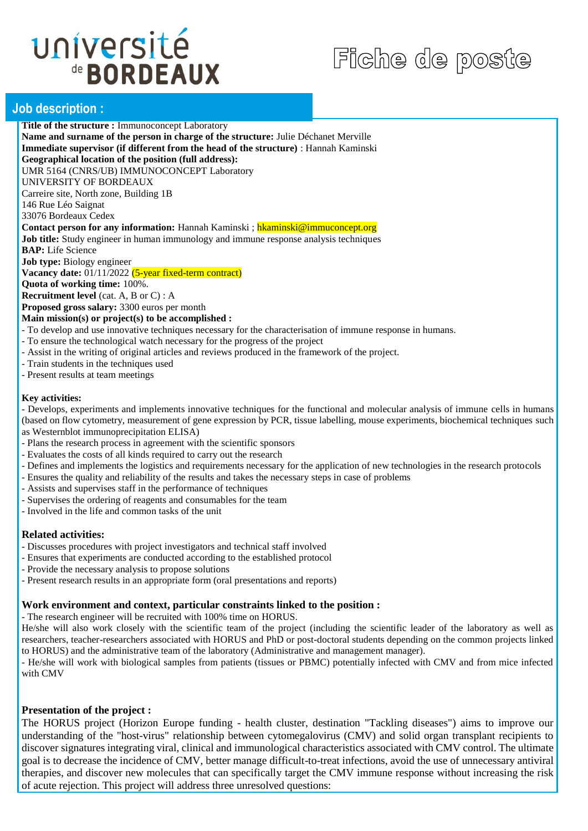# université de **BORDEAUX**

## Fiche de poste

### **Job description :**

**Title of the structure :** Immunoconcept Laboratory **Name and surname of the person in charge of the structure:** Julie Déchanet Merville **Immediate supervisor (if different from the head of the structure)** : Hannah Kaminski **Geographical location of the position (full address):**  UMR 5164 (CNRS/UB) IMMUNOCONCEPT Laboratory UNIVERSITY OF BORDEAUX Carreire site, North zone, Building 1B 146 Rue Léo Saignat 33076 Bordeaux Cedex **Contact person for any information:** Hannah Kaminski ; hkaminski@immuconcept.org **Job title:** Study engineer in human immunology and immune response analysis techniques **BAP:** Life Science **Job type:** Biology engineer Vacancy date:  $\frac{01}{112022}$  (5-year fixed-term contract) **Quota of working time:** 100%. **Recruitment level** (cat. A, B or C) : A **Proposed gross salary:** 3300 euros per month

**Main mission(s) or project(s) to be accomplished :** 

- To develop and use innovative techniques necessary for the characterisation of immune response in humans.
- To ensure the technological watch necessary for the progress of the project
- Assist in the writing of original articles and reviews produced in the framework of the project.
- Train students in the techniques used
- Present results at team meetings

#### **Key activities:**

- Develops, experiments and implements innovative techniques for the functional and molecular analysis of immune cells in humans (based on flow cytometry, measurement of gene expression by PCR, tissue labelling, mouse experiments, biochemical techniques such as Westernblot immunoprecipitation ELISA)

- Plans the research process in agreement with the scientific sponsors
- Evaluates the costs of all kinds required to carry out the research
- Defines and implements the logistics and requirements necessary for the application of new technologies in the research protocols
- Ensures the quality and reliability of the results and takes the necessary steps in case of problems
- Assists and supervises staff in the performance of techniques
- Supervises the ordering of reagents and consumables for the team
- Involved in the life and common tasks of the unit

### **Related activities:**

- Discusses procedures with project investigators and technical staff involved
- Ensures that experiments are conducted according to the established protocol
- Provide the necessary analysis to propose solutions
- Present research results in an appropriate form (oral presentations and reports)

#### **Work environment and context, particular constraints linked to the position :**

- The research engineer will be recruited with 100% time on HORUS.

He/she will also work closely with the scientific team of the project (including the scientific leader of the laboratory as well as researchers, teacher-researchers associated with HORUS and PhD or post-doctoral students depending on the common projects linked to HORUS) and the administrative team of the laboratory (Administrative and management manager).

- He/she will work with biological samples from patients (tissues or PBMC) potentially infected with CMV and from mice infected with CMV

### **Presentation of the project :**

The HORUS project (Horizon Europe funding - health cluster, destination "Tackling diseases") aims to improve our understanding of the "host-virus" relationship between cytomegalovirus (CMV) and solid organ transplant recipients to discover signatures integrating viral, clinical and immunological characteristics associated with CMV control. The ultimate goal is to decrease the incidence of CMV, better manage difficult-to-treat infections, avoid the use of unnecessary antiviral therapies, and discover new molecules that can specifically target the CMV immune response without increasing the risk of acute rejection. This project will address three unresolved questions: